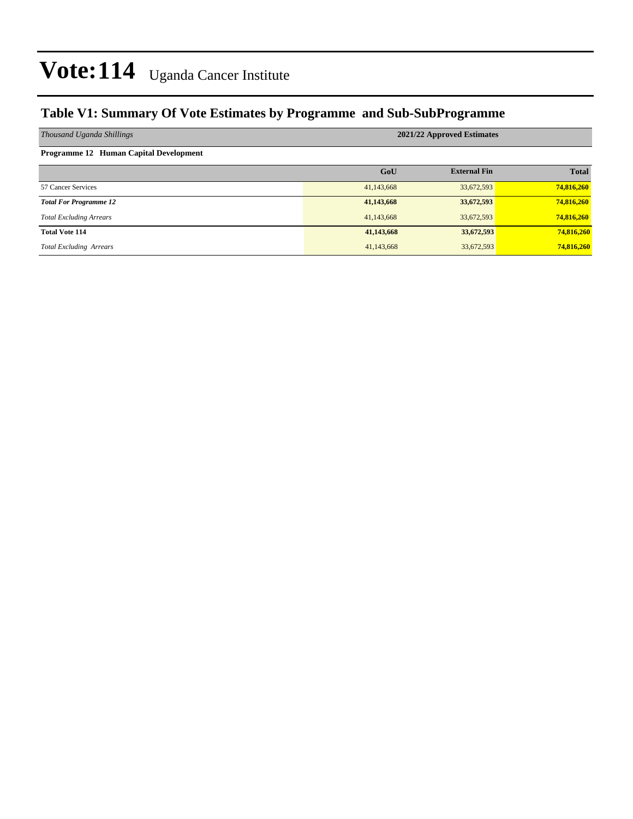### **Table V1: Summary Of Vote Estimates by Programme and Sub-SubProgramme**

| Thousand Uganda Shillings                     | 2021/22 Approved Estimates |                     |              |  |  |  |
|-----------------------------------------------|----------------------------|---------------------|--------------|--|--|--|
| <b>Programme 12 Human Capital Development</b> |                            |                     |              |  |  |  |
|                                               | GoU                        | <b>External Fin</b> | <b>Total</b> |  |  |  |
| 57 Cancer Services                            | 41,143,668                 | 33,672,593          | 74,816,260   |  |  |  |
| <b>Total For Programme 12</b>                 | 41,143,668                 | 33,672,593          | 74,816,260   |  |  |  |
| <b>Total Excluding Arrears</b>                | 41,143,668                 | 33,672,593          | 74,816,260   |  |  |  |
| <b>Total Vote 114</b>                         | 41,143,668                 | 33,672,593          | 74,816,260   |  |  |  |
| <b>Total Excluding Arrears</b>                | 41,143,668                 | 33,672,593          | 74,816,260   |  |  |  |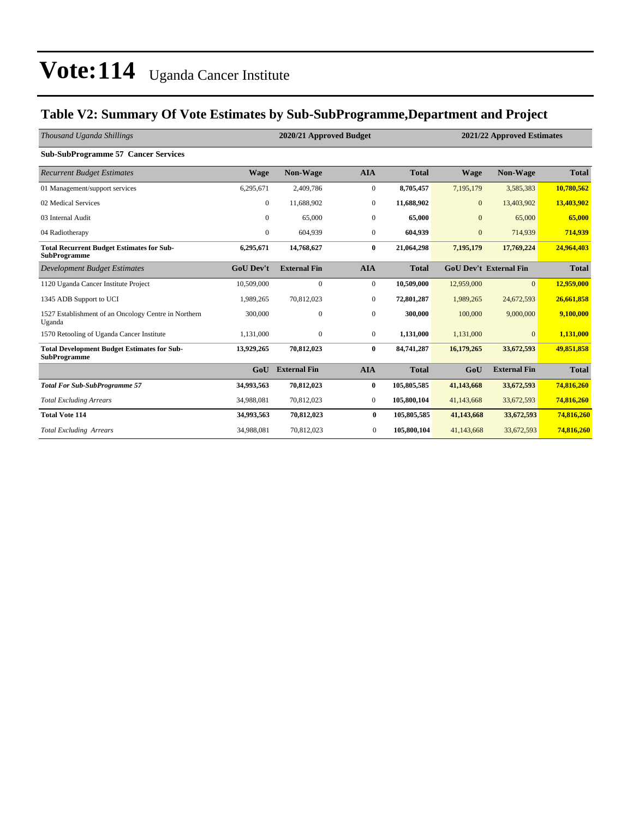### **Table V2: Summary Of Vote Estimates by Sub-SubProgramme,Department and Project**

| Thousand Uganda Shillings                                                 | 2020/21 Approved Budget |                     |                  |              |                  | 2021/22 Approved Estimates    |              |  |
|---------------------------------------------------------------------------|-------------------------|---------------------|------------------|--------------|------------------|-------------------------------|--------------|--|
| <b>Sub-SubProgramme 57 Cancer Services</b>                                |                         |                     |                  |              |                  |                               |              |  |
| <b>Recurrent Budget Estimates</b>                                         | <b>Wage</b>             | Non-Wage            | <b>AIA</b>       | <b>Total</b> | <b>Wage</b>      | <b>Non-Wage</b>               | <b>Total</b> |  |
| 01 Management/support services                                            | 6,295,671               | 2,409,786           | $\mathbf{0}$     | 8,705,457    | 7,195,179        | 3,585,383                     | 10,780,562   |  |
| 02 Medical Services                                                       | $\mathbf{0}$            | 11,688,902          | $\overline{0}$   | 11,688,902   | $\overline{0}$   | 13,403,902                    | 13,403,902   |  |
| 03 Internal Audit                                                         | $\mathbf{0}$            | 65,000              | $\boldsymbol{0}$ | 65,000       | $\boldsymbol{0}$ | 65,000                        | 65,000       |  |
| 04 Radiotherapy                                                           | $\mathbf{0}$            | 604,939             | $\mathbf{0}$     | 604,939      | $\overline{0}$   | 714,939                       | 714,939      |  |
| <b>Total Recurrent Budget Estimates for Sub-</b><br><b>SubProgramme</b>   | 6,295,671               | 14,768,627          | $\bf{0}$         | 21,064,298   | 7,195,179        | 17,769,224                    | 24,964,403   |  |
| Development Budget Estimates                                              | <b>GoU Dev't</b>        | <b>External Fin</b> | <b>AIA</b>       | <b>Total</b> |                  | <b>GoU Dev't External Fin</b> | <b>Total</b> |  |
| 1120 Uganda Cancer Institute Project                                      | 10,509,000              | $\mathbf{0}$        | $\overline{0}$   | 10,509,000   | 12,959,000       | $\overline{0}$                | 12,959,000   |  |
| 1345 ADB Support to UCI                                                   | 1,989,265               | 70,812,023          | $\overline{0}$   | 72,801,287   | 1,989,265        | 24,672,593                    | 26,661,858   |  |
| 1527 Establishment of an Oncology Centre in Northern<br>Uganda            | 300,000                 | $\mathbf{0}$        | $\overline{0}$   | 300,000      | 100,000          | 9,000,000                     | 9,100,000    |  |
| 1570 Retooling of Uganda Cancer Institute                                 | 1,131,000               | $\mathbf{0}$        | $\overline{0}$   | 1,131,000    | 1,131,000        | $\mathbf{0}$                  | 1,131,000    |  |
| <b>Total Development Budget Estimates for Sub-</b><br><b>SubProgramme</b> | 13,929,265              | 70,812,023          | $\bf{0}$         | 84,741,287   | 16,179,265       | 33,672,593                    | 49,851,858   |  |
|                                                                           | G <sub>0</sub> U        | <b>External Fin</b> | <b>AIA</b>       | <b>Total</b> | GoU              | <b>External Fin</b>           | <b>Total</b> |  |
| <b>Total For Sub-SubProgramme 57</b>                                      | 34,993,563              | 70,812,023          | $\bf{0}$         | 105,805,585  | 41,143,668       | 33,672,593                    | 74,816,260   |  |
| <b>Total Excluding Arrears</b>                                            | 34,988,081              | 70,812,023          | $\overline{0}$   | 105,800,104  | 41,143,668       | 33,672,593                    | 74,816,260   |  |
| <b>Total Vote 114</b>                                                     | 34,993,563              | 70,812,023          | $\bf{0}$         | 105,805,585  | 41,143,668       | 33,672,593                    | 74,816,260   |  |
| <b>Total Excluding Arrears</b>                                            | 34,988,081              | 70,812,023          | $\boldsymbol{0}$ | 105,800,104  | 41,143,668       | 33,672,593                    | 74,816,260   |  |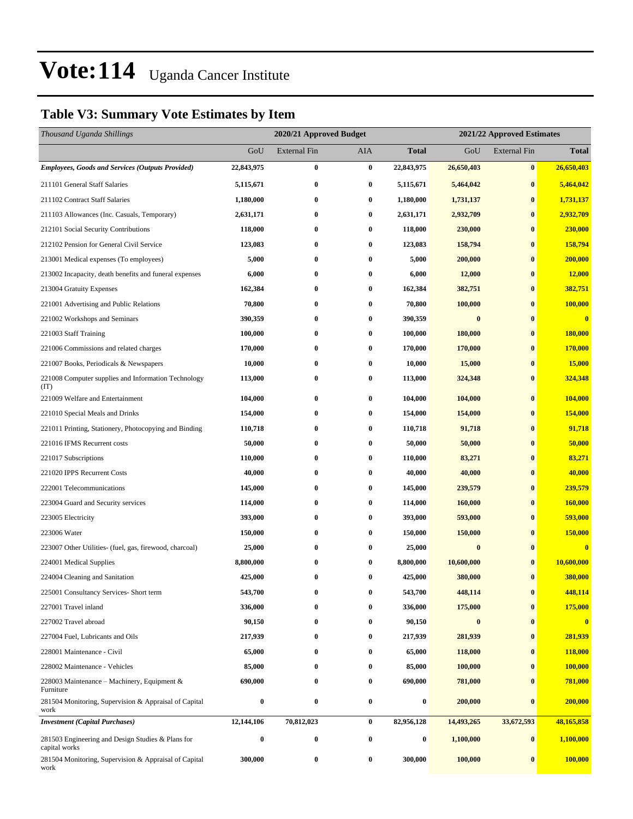### **Table V3: Summary Vote Estimates by Item**

| Thousand Uganda Shillings                                          |                  | 2020/21 Approved Budget |                  | 2021/22 Approved Estimates |            |                     |              |
|--------------------------------------------------------------------|------------------|-------------------------|------------------|----------------------------|------------|---------------------|--------------|
|                                                                    | GoU              | <b>External Fin</b>     | AIA              | <b>Total</b>               | GoU        | <b>External Fin</b> | <b>Total</b> |
| <b>Employees, Goods and Services (Outputs Provided)</b>            | 22,843,975       | $\bf{0}$                | $\bf{0}$         | 22,843,975                 | 26,650,403 | $\bf{0}$            | 26,650,403   |
| 211101 General Staff Salaries                                      | 5,115,671        | $\bf{0}$                | $\bf{0}$         | 5,115,671                  | 5,464,042  | $\bf{0}$            | 5,464,042    |
| 211102 Contract Staff Salaries                                     | 1,180,000        | $\bf{0}$                | $\bf{0}$         | 1,180,000                  | 1,731,137  | $\bf{0}$            | 1,731,137    |
| 211103 Allowances (Inc. Casuals, Temporary)                        | 2,631,171        | $\bf{0}$                | $\bf{0}$         | 2,631,171                  | 2,932,709  | $\bf{0}$            | 2,932,709    |
| 212101 Social Security Contributions                               | 118,000          | $\bf{0}$                | $\bf{0}$         | 118,000                    | 230,000    | $\bf{0}$            | 230,000      |
| 212102 Pension for General Civil Service                           | 123,083          | $\bf{0}$                | $\bf{0}$         | 123,083                    | 158,794    | $\bf{0}$            | 158,794      |
| 213001 Medical expenses (To employees)                             | 5,000            | $\bf{0}$                | 0                | 5,000                      | 200,000    | $\bf{0}$            | 200,000      |
| 213002 Incapacity, death benefits and funeral expenses             | 6,000            | $\bf{0}$                | $\bf{0}$         | 6,000                      | 12,000     | $\bf{0}$            | 12,000       |
| 213004 Gratuity Expenses                                           | 162,384          | $\bf{0}$                | $\bf{0}$         | 162,384                    | 382,751    | $\bf{0}$            | 382,751      |
| 221001 Advertising and Public Relations                            | 70,800           | $\bf{0}$                | 0                | 70,800                     | 100,000    | $\bf{0}$            | 100,000      |
| 221002 Workshops and Seminars                                      | 390,359          | $\bf{0}$                | $\bf{0}$         | 390,359                    | $\bf{0}$   | $\bf{0}$            | $\bf{0}$     |
| 221003 Staff Training                                              | 100,000          | $\bf{0}$                | 0                | 100,000                    | 180,000    | $\bf{0}$            | 180,000      |
| 221006 Commissions and related charges                             | 170,000          | $\bf{0}$                | $\bf{0}$         | 170,000                    | 170,000    | $\bf{0}$            | 170,000      |
| 221007 Books, Periodicals & Newspapers                             | 10,000           | $\bf{0}$                | $\bf{0}$         | 10,000                     | 15,000     | $\bf{0}$            | 15,000       |
| 221008 Computer supplies and Information Technology<br>(TT)        | 113,000          | $\bf{0}$                | $\bf{0}$         | 113,000                    | 324,348    | $\bf{0}$            | 324,348      |
| 221009 Welfare and Entertainment                                   | 104,000          | $\bf{0}$                | $\bf{0}$         | 104,000                    | 104,000    | $\bf{0}$            | 104,000      |
| 221010 Special Meals and Drinks                                    | 154,000          | $\bf{0}$                | $\bf{0}$         | 154,000                    | 154,000    | $\bf{0}$            | 154,000      |
| 221011 Printing, Stationery, Photocopying and Binding              | 110,718          | $\bf{0}$                | $\bf{0}$         | 110,718                    | 91,718     | $\bf{0}$            | 91,718       |
| 221016 IFMS Recurrent costs                                        | 50,000           | $\bf{0}$                | 0                | 50,000                     | 50,000     | $\bf{0}$            | 50,000       |
| 221017 Subscriptions                                               | 110,000          | $\bf{0}$                | 0                | 110,000                    | 83,271     | $\bf{0}$            | 83,271       |
| 221020 IPPS Recurrent Costs                                        | 40,000           | $\bf{0}$                | $\bf{0}$         | 40,000                     | 40,000     | $\bf{0}$            | 40,000       |
| 222001 Telecommunications                                          | 145,000          | $\bf{0}$                | $\bf{0}$         | 145,000                    | 239,579    | $\bf{0}$            | 239,579      |
| 223004 Guard and Security services                                 | 114,000          | $\bf{0}$                | $\bf{0}$         | 114,000                    | 160,000    | $\bf{0}$            | 160,000      |
| 223005 Electricity                                                 | 393,000          | $\bf{0}$                | $\bf{0}$         | 393,000                    | 593,000    | $\bf{0}$            | 593,000      |
| 223006 Water                                                       | 150,000          | $\bf{0}$                | $\bf{0}$         | 150,000                    | 150,000    | $\bf{0}$            | 150,000      |
| 223007 Other Utilities- (fuel, gas, firewood, charcoal)            | 25,000           | $\bf{0}$                | $\bf{0}$         | 25,000                     | $\bf{0}$   | $\bf{0}$            | $\bf{0}$     |
| 224001 Medical Supplies                                            | 8,800,000        | $\bf{0}$                | 0                | 8,800,000                  | 10,600,000 | $\bf{0}$            | 10,600,000   |
| 224004 Cleaning and Sanitation                                     | 425,000          | $\bf{0}$                | $\bf{0}$         | 425,000                    | 380,000    | $\bf{0}$            | 380,000      |
| 225001 Consultancy Services- Short term                            | 543,700          | 0                       | $\bf{0}$         | 543,700                    | 448,114    | $\bf{0}$            | 448,114      |
| 227001 Travel inland                                               | 336,000          | $\bf{0}$                | 0                | 336,000                    | 175,000    | $\bf{0}$            | 175,000      |
| 227002 Travel abroad                                               | 90,150           | $\bf{0}$                | $\bf{0}$         | 90,150                     | $\bf{0}$   | $\bf{0}$            | $\bf{0}$     |
| 227004 Fuel, Lubricants and Oils                                   | 217,939          | $\bf{0}$                | $\bf{0}$         | 217,939                    | 281,939    | $\bf{0}$            | 281,939      |
| 228001 Maintenance - Civil                                         | 65,000           | $\bf{0}$                | 0                | 65,000                     | 118,000    | $\bf{0}$            | 118,000      |
| 228002 Maintenance - Vehicles                                      | 85,000           | $\bf{0}$                | 0                | 85,000                     | 100,000    | $\bf{0}$            | 100,000      |
| 228003 Maintenance – Machinery, Equipment $\&$<br>Furniture        | 690,000          | $\bf{0}$                | $\bf{0}$         | 690,000                    | 781,000    | $\bf{0}$            | 781,000      |
| 281504 Monitoring, Supervision & Appraisal of Capital<br>work      | $\boldsymbol{0}$ | $\bf{0}$                | $\bf{0}$         | $\boldsymbol{0}$           | 200,000    | $\bf{0}$            | 200,000      |
| <b>Investment</b> (Capital Purchases)                              | 12,144,106       | 70,812,023              | $\bf{0}$         | 82,956,128                 | 14,493,265 | 33,672,593          | 48,165,858   |
| 281503 Engineering and Design Studies & Plans for<br>capital works | $\boldsymbol{0}$ | $\boldsymbol{0}$        | $\boldsymbol{0}$ | 0                          | 1,100,000  | $\bf{0}$            | 1,100,000    |
| 281504 Monitoring, Supervision & Appraisal of Capital<br>work      | 300,000          | $\boldsymbol{0}$        | $\boldsymbol{0}$ | 300,000                    | 100,000    | $\bf{0}$            | 100,000      |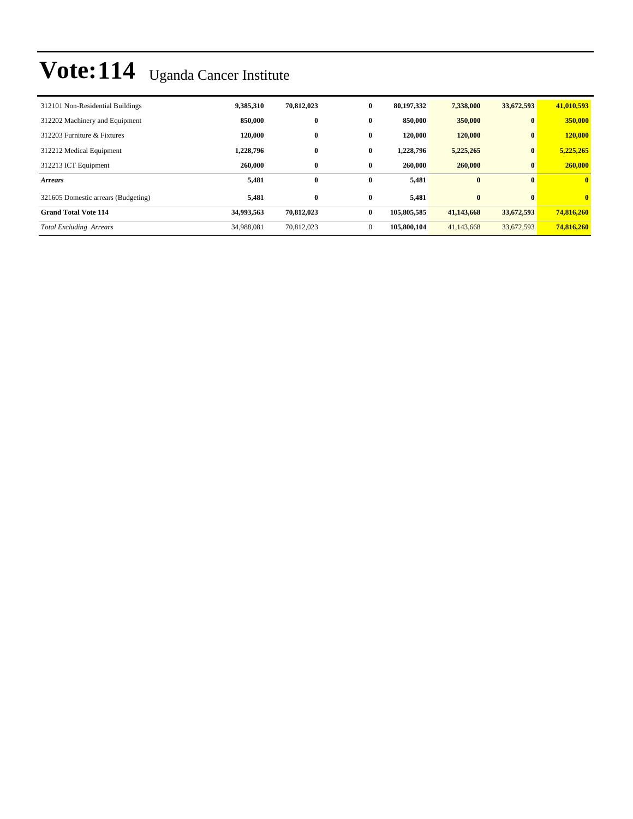| 312101 Non-Residential Buildings    | 9,385,310  | 70,812,023 | $\bf{0}$     | 80,197,332  | 7,338,000  | 33,672,593   | 41,010,593   |
|-------------------------------------|------------|------------|--------------|-------------|------------|--------------|--------------|
| 312202 Machinery and Equipment      | 850,000    | $\bf{0}$   | $\bf{0}$     | 850,000     | 350,000    | $\mathbf{0}$ | 350,000      |
| 312203 Furniture & Fixtures         | 120,000    | $\bf{0}$   | $\bf{0}$     | 120,000     | 120,000    | $\mathbf{0}$ | 120,000      |
| 312212 Medical Equipment            | 1,228,796  | $\bf{0}$   | $\bf{0}$     | 1,228,796   | 5,225,265  | $\mathbf{0}$ | 5,225,265    |
| 312213 ICT Equipment                | 260,000    | $\bf{0}$   | $\bf{0}$     | 260,000     | 260,000    | $\mathbf{0}$ | 260,000      |
| <b>Arrears</b>                      | 5,481      | $\bf{0}$   | $\mathbf{0}$ | 5,481       | $\bf{0}$   | $\mathbf{0}$ | $\mathbf{0}$ |
| 321605 Domestic arrears (Budgeting) | 5,481      | $\bf{0}$   | $\bf{0}$     | 5.481       | $\bf{0}$   | $\mathbf{0}$ | $\mathbf{0}$ |
| <b>Grand Total Vote 114</b>         | 34,993,563 | 70,812,023 | $\bf{0}$     | 105,805,585 | 41,143,668 | 33,672,593   | 74,816,260   |
| <b>Total Excluding Arrears</b>      | 34,988,081 | 70,812,023 | $\mathbf{0}$ | 105,800,104 | 41,143,668 | 33,672,593   | 74,816,260   |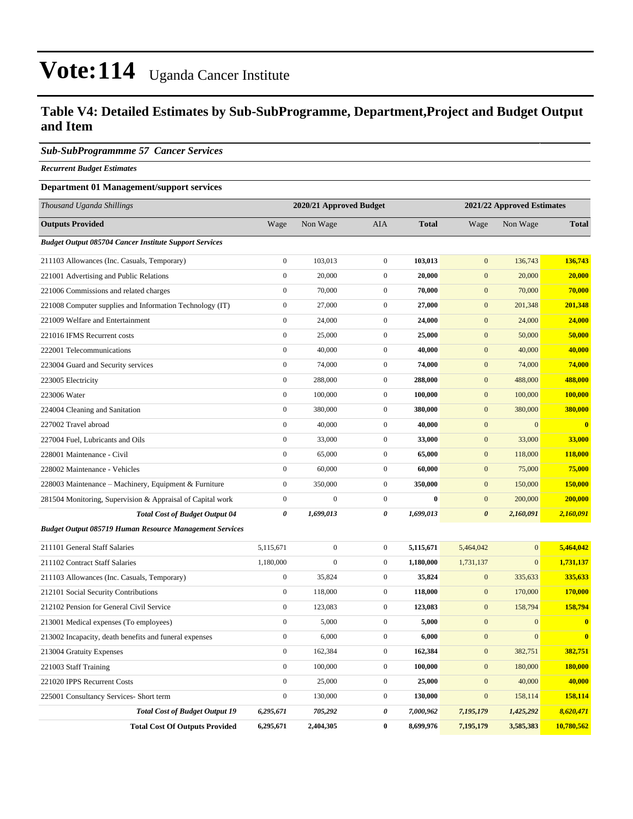### **Table V4: Detailed Estimates by Sub-SubProgramme, Department,Project and Budget Output and Item**

#### *Sub-SubProgrammme 57 Cancer Services*

*Recurrent Budget Estimates*

#### **Department 01 Management/support services**

| Thousand Uganda Shillings                                      | 2020/21 Approved Budget |                  |                  |              | 2021/22 Approved Estimates |                |              |
|----------------------------------------------------------------|-------------------------|------------------|------------------|--------------|----------------------------|----------------|--------------|
| <b>Outputs Provided</b>                                        | Wage                    | Non Wage         | AIA              | <b>Total</b> | Wage                       | Non Wage       | <b>Total</b> |
| <b>Budget Output 085704 Cancer Institute Support Services</b>  |                         |                  |                  |              |                            |                |              |
| 211103 Allowances (Inc. Casuals, Temporary)                    | $\mathbf{0}$            | 103,013          | $\boldsymbol{0}$ | 103,013      | $\mathbf{0}$               | 136,743        | 136,743      |
| 221001 Advertising and Public Relations                        | $\mathbf{0}$            | 20,000           | $\mathbf{0}$     | 20,000       | $\mathbf{0}$               | 20,000         | 20,000       |
| 221006 Commissions and related charges                         | $\mathbf{0}$            | 70,000           | $\mathbf{0}$     | 70,000       | $\overline{0}$             | 70,000         | 70,000       |
| 221008 Computer supplies and Information Technology (IT)       | $\boldsymbol{0}$        | 27,000           | $\boldsymbol{0}$ | 27,000       | $\mathbf{0}$               | 201,348        | 201,348      |
| 221009 Welfare and Entertainment                               | $\overline{0}$          | 24,000           | $\boldsymbol{0}$ | 24,000       | $\mathbf{0}$               | 24,000         | 24,000       |
| 221016 IFMS Recurrent costs                                    | $\mathbf{0}$            | 25,000           | $\boldsymbol{0}$ | 25,000       | $\mathbf{0}$               | 50,000         | 50,000       |
| 222001 Telecommunications                                      | $\boldsymbol{0}$        | 40,000           | $\boldsymbol{0}$ | 40,000       | $\mathbf{0}$               | 40,000         | 40,000       |
| 223004 Guard and Security services                             | $\mathbf{0}$            | 74,000           | $\boldsymbol{0}$ | 74,000       | $\mathbf{0}$               | 74,000         | 74,000       |
| 223005 Electricity                                             | $\boldsymbol{0}$        | 288,000          | $\boldsymbol{0}$ | 288,000      | $\mathbf{0}$               | 488,000        | 488,000      |
| 223006 Water                                                   | $\boldsymbol{0}$        | 100,000          | $\boldsymbol{0}$ | 100,000      | $\mathbf{0}$               | 100,000        | 100,000      |
| 224004 Cleaning and Sanitation                                 | $\boldsymbol{0}$        | 380,000          | $\boldsymbol{0}$ | 380,000      | $\mathbf{0}$               | 380,000        | 380,000      |
| 227002 Travel abroad                                           | $\boldsymbol{0}$        | 40,000           | $\boldsymbol{0}$ | 40,000       | $\mathbf{0}$               | $\mathbf{0}$   | $\bf{0}$     |
| 227004 Fuel, Lubricants and Oils                               | $\mathbf{0}$            | 33,000           | $\boldsymbol{0}$ | 33,000       | $\mathbf{0}$               | 33,000         | 33,000       |
| 228001 Maintenance - Civil                                     | $\boldsymbol{0}$        | 65,000           | $\boldsymbol{0}$ | 65,000       | $\mathbf{0}$               | 118,000        | 118,000      |
| 228002 Maintenance - Vehicles                                  | $\mathbf{0}$            | 60,000           | $\boldsymbol{0}$ | 60,000       | $\mathbf{0}$               | 75,000         | 75,000       |
| 228003 Maintenance – Machinery, Equipment & Furniture          | $\mathbf{0}$            | 350,000          | $\boldsymbol{0}$ | 350,000      | $\mathbf{0}$               | 150,000        | 150,000      |
| 281504 Monitoring, Supervision & Appraisal of Capital work     | $\boldsymbol{0}$        | $\overline{0}$   | $\boldsymbol{0}$ | $\bf{0}$     | $\mathbf{0}$               | 200,000        | 200,000      |
| <b>Total Cost of Budget Output 04</b>                          | $\theta$                | 1,699,013        | 0                | 1,699,013    | $\boldsymbol{\theta}$      | 2,160,091      | 2,160,091    |
| <b>Budget Output 085719 Human Resource Management Services</b> |                         |                  |                  |              |                            |                |              |
| 211101 General Staff Salaries                                  | 5,115,671               | $\boldsymbol{0}$ | $\boldsymbol{0}$ | 5,115,671    | 5,464,042                  | $\overline{0}$ | 5,464,042    |
| 211102 Contract Staff Salaries                                 | 1,180,000               | $\boldsymbol{0}$ | $\boldsymbol{0}$ | 1,180,000    | 1,731,137                  | $\mathbf{0}$   | 1,731,137    |
| 211103 Allowances (Inc. Casuals, Temporary)                    | $\boldsymbol{0}$        | 35,824           | $\boldsymbol{0}$ | 35,824       | $\mathbf{0}$               | 335,633        | 335,633      |
| 212101 Social Security Contributions                           | $\mathbf{0}$            | 118,000          | $\boldsymbol{0}$ | 118,000      | $\mathbf{0}$               | 170,000        | 170,000      |
| 212102 Pension for General Civil Service                       | $\boldsymbol{0}$        | 123,083          | $\boldsymbol{0}$ | 123,083      | $\mathbf{0}$               | 158,794        | 158,794      |
| 213001 Medical expenses (To employees)                         | $\mathbf{0}$            | 5,000            | $\boldsymbol{0}$ | 5,000        | $\mathbf{0}$               | $\mathbf{0}$   | $\bf{0}$     |
| 213002 Incapacity, death benefits and funeral expenses         | $\mathbf{0}$            | 6,000            | $\boldsymbol{0}$ | 6,000        | $\mathbf{0}$               | $\mathbf{0}$   | $\bf{0}$     |
| 213004 Gratuity Expenses                                       | $\mathbf{0}$            | 162,384          | $\boldsymbol{0}$ | 162,384      | $\mathbf{0}$               | 382,751        | 382,751      |
| 221003 Staff Training                                          | $\boldsymbol{0}$        | 100,000          | $\boldsymbol{0}$ | 100,000      | $\mathbf{0}$               | 180,000        | 180,000      |
| 221020 IPPS Recurrent Costs                                    | $\mathbf{0}$            | 25,000           | $\boldsymbol{0}$ | 25,000       | $\mathbf{0}$               | 40,000         | 40,000       |
| 225001 Consultancy Services- Short term                        | $\boldsymbol{0}$        | 130,000          | $\boldsymbol{0}$ | 130,000      | $\mathbf{0}$               | 158,114        | 158,114      |
| <b>Total Cost of Budget Output 19</b>                          | 6,295,671               | 705,292          | 0                | 7,000,962    | 7,195,179                  | 1,425,292      | 8,620,471    |

**Total Cost Of Outputs Provided 6,295,671 2,404,305 0 8,699,976 7,195,179 3,585,383 10,780,562**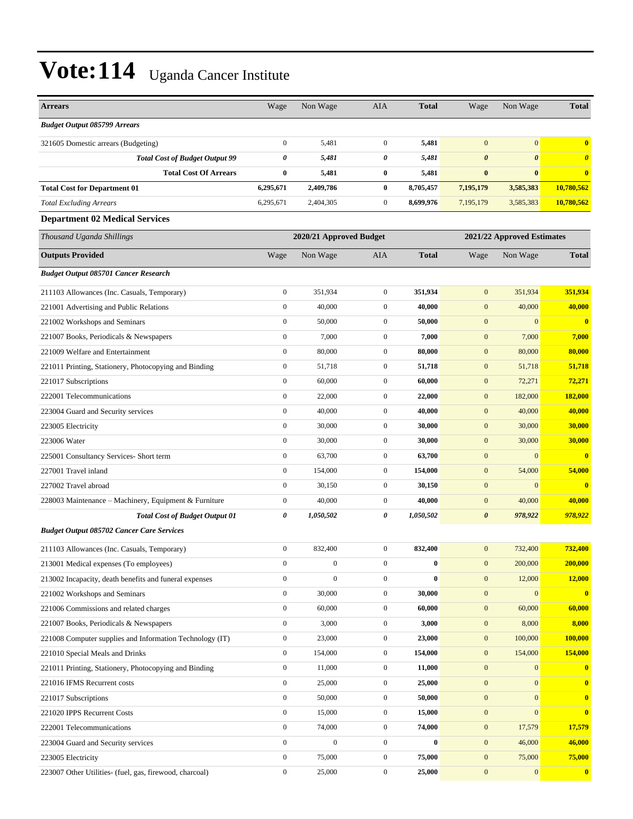| <b>Arrears</b>                                           | Wage             | Non Wage                | AIA              | <b>Total</b> | Wage                  | Non Wage                   | <b>Total</b>            |
|----------------------------------------------------------|------------------|-------------------------|------------------|--------------|-----------------------|----------------------------|-------------------------|
| <b>Budget Output 085799 Arrears</b>                      |                  |                         |                  |              |                       |                            |                         |
| 321605 Domestic arrears (Budgeting)                      | $\boldsymbol{0}$ | 5,481                   | $\mathbf{0}$     | 5,481        | $\overline{0}$        | $\mathbf{0}$               | $\bf{0}$                |
| <b>Total Cost of Budget Output 99</b>                    | 0                | 5,481                   | 0                | 5,481        | $\boldsymbol{\theta}$ | $\boldsymbol{\theta}$      | $\boldsymbol{\theta}$   |
| <b>Total Cost Of Arrears</b>                             | $\bf{0}$         | 5,481                   | $\bf{0}$         | 5,481        | $\bf{0}$              | $\bf{0}$                   | $\bf{0}$                |
| <b>Total Cost for Department 01</b>                      | 6,295,671        | 2,409,786               | $\bf{0}$         | 8,705,457    | 7,195,179             | 3,585,383                  | 10,780,562              |
| <b>Total Excluding Arrears</b>                           | 6,295,671        | 2,404,305               | $\mathbf{0}$     | 8,699,976    | 7,195,179             | 3,585,383                  | 10,780,562              |
| <b>Department 02 Medical Services</b>                    |                  |                         |                  |              |                       |                            |                         |
| Thousand Uganda Shillings                                |                  | 2020/21 Approved Budget |                  |              |                       | 2021/22 Approved Estimates |                         |
| <b>Outputs Provided</b>                                  | Wage             | Non Wage                | <b>AIA</b>       | <b>Total</b> | Wage                  | Non Wage                   | <b>Total</b>            |
| <b>Budget Output 085701 Cancer Research</b>              |                  |                         |                  |              |                       |                            |                         |
| 211103 Allowances (Inc. Casuals, Temporary)              | $\boldsymbol{0}$ | 351,934                 | $\mathbf{0}$     | 351,934      | $\mathbf{0}$          | 351,934                    | 351,934                 |
| 221001 Advertising and Public Relations                  | $\boldsymbol{0}$ | 40,000                  | $\mathbf{0}$     | 40,000       | $\mathbf{0}$          | 40,000                     | 40,000                  |
| 221002 Workshops and Seminars                            | $\boldsymbol{0}$ | 50,000                  | $\mathbf{0}$     | 50,000       | $\mathbf{0}$          | $\mathbf{0}$               | $\bf{0}$                |
| 221007 Books, Periodicals & Newspapers                   | $\boldsymbol{0}$ | 7,000                   | $\mathbf{0}$     | 7,000        | $\mathbf{0}$          | 7,000                      | 7,000                   |
| 221009 Welfare and Entertainment                         | $\boldsymbol{0}$ | 80,000                  | $\mathbf{0}$     | 80,000       | $\mathbf{0}$          | 80,000                     | 80,000                  |
| 221011 Printing, Stationery, Photocopying and Binding    | $\boldsymbol{0}$ | 51,718                  | $\mathbf{0}$     | 51,718       | $\mathbf{0}$          | 51,718                     | 51,718                  |
| 221017 Subscriptions                                     | $\boldsymbol{0}$ | 60,000                  | $\mathbf{0}$     | 60,000       | $\mathbf{0}$          | 72,271                     | 72,271                  |
| 222001 Telecommunications                                | $\boldsymbol{0}$ | 22,000                  | $\mathbf{0}$     | 22,000       | $\mathbf{0}$          | 182,000                    | 182,000                 |
| 223004 Guard and Security services                       | $\boldsymbol{0}$ | 40,000                  | $\mathbf{0}$     | 40,000       | $\mathbf{0}$          | 40,000                     | 40,000                  |
| 223005 Electricity                                       | $\boldsymbol{0}$ | 30,000                  | $\mathbf{0}$     | 30,000       | $\mathbf{0}$          | 30,000                     | 30,000                  |
| 223006 Water                                             | $\boldsymbol{0}$ | 30,000                  | $\mathbf{0}$     | 30,000       | $\mathbf{0}$          | 30,000                     | 30,000                  |
| 225001 Consultancy Services- Short term                  | $\boldsymbol{0}$ | 63,700                  | $\mathbf{0}$     | 63,700       | $\mathbf{0}$          | $\mathbf{0}$               | $\bf{0}$                |
| 227001 Travel inland                                     | $\boldsymbol{0}$ | 154,000                 | $\mathbf{0}$     | 154,000      | $\mathbf{0}$          | 54,000                     | 54,000                  |
| 227002 Travel abroad                                     | $\boldsymbol{0}$ | 30,150                  | $\mathbf{0}$     | 30,150       | $\mathbf{0}$          | $\mathbf{0}$               | $\bf{0}$                |
| 228003 Maintenance - Machinery, Equipment & Furniture    | $\boldsymbol{0}$ | 40,000                  | $\mathbf{0}$     | 40,000       | $\mathbf{0}$          | 40,000                     | 40,000                  |
| <b>Total Cost of Budget Output 01</b>                    | 0                | 1,050,502               | 0                | 1,050,502    | $\boldsymbol{\theta}$ | 978,922                    | 978,922                 |
| <b>Budget Output 085702 Cancer Care Services</b>         |                  |                         |                  |              |                       |                            |                         |
| 211103 Allowances (Inc. Casuals, Temporary)              | $\boldsymbol{0}$ | 832,400                 | $\mathbf{0}$     | 832,400      | $\mathbf{0}$          | 732,400                    | 732,400                 |
| 213001 Medical expenses (To employees)                   | $\boldsymbol{0}$ | $\boldsymbol{0}$        | $\boldsymbol{0}$ | $\pmb{0}$    | $\boldsymbol{0}$      | 200,000                    | 200,000                 |
| 213002 Incapacity, death benefits and funeral expenses   | $\boldsymbol{0}$ | $\boldsymbol{0}$        | $\overline{0}$   | $\bf{0}$     | $\mathbf{0}$          | 12,000                     | 12,000                  |
| 221002 Workshops and Seminars                            | $\boldsymbol{0}$ | 30,000                  | $\boldsymbol{0}$ | 30,000       | $\mathbf{0}$          | $\mathbf{0}$               | $\overline{\mathbf{0}}$ |
| 221006 Commissions and related charges                   | $\boldsymbol{0}$ | 60,000                  | $\boldsymbol{0}$ | 60,000       | $\mathbf{0}$          | 60,000                     | 60,000                  |
| 221007 Books, Periodicals & Newspapers                   | $\boldsymbol{0}$ | 3,000                   | $\boldsymbol{0}$ | 3,000        | $\mathbf{0}$          | 8,000                      | 8,000                   |
| 221008 Computer supplies and Information Technology (IT) | $\boldsymbol{0}$ | 23,000                  | $\boldsymbol{0}$ | 23,000       | $\mathbf{0}$          | 100,000                    | 100,000                 |
| 221010 Special Meals and Drinks                          | $\boldsymbol{0}$ | 154,000                 | $\boldsymbol{0}$ | 154,000      | $\mathbf{0}$          | 154,000                    | 154,000                 |
| 221011 Printing, Stationery, Photocopying and Binding    | $\mathbf{0}$     | 11,000                  | $\boldsymbol{0}$ | 11,000       | $\mathbf{0}$          | $\mathbf{0}$               | $\boldsymbol{0}$        |
| 221016 IFMS Recurrent costs                              | $\boldsymbol{0}$ | 25,000                  | $\boldsymbol{0}$ | 25,000       | $\mathbf{0}$          | $\mathbf{0}$               | $\mathbf{0}$            |
| 221017 Subscriptions                                     | $\boldsymbol{0}$ | 50,000                  | $\boldsymbol{0}$ | 50,000       | $\mathbf{0}$          | $\mathbf{0}$               | $\mathbf{0}$            |
| 221020 IPPS Recurrent Costs                              | $\boldsymbol{0}$ | 15,000                  | $\boldsymbol{0}$ | 15,000       | $\boldsymbol{0}$      | $\mathbf{0}$               | $\bf{0}$                |
| 222001 Telecommunications                                | $\boldsymbol{0}$ | 74,000                  | $\boldsymbol{0}$ | 74,000       | $\mathbf{0}$          | 17,579                     | 17,579                  |
| 223004 Guard and Security services                       | $\boldsymbol{0}$ | $\boldsymbol{0}$        | $\boldsymbol{0}$ | $\bf{0}$     | $\mathbf{0}$          | 46,000                     | 46,000                  |
| 223005 Electricity                                       | $\boldsymbol{0}$ | 75,000                  | $\boldsymbol{0}$ | 75,000       | $\mathbf{0}$          | 75,000                     | 75,000                  |
| 223007 Other Utilities- (fuel, gas, firewood, charcoal)  | $\boldsymbol{0}$ | 25,000                  | $\boldsymbol{0}$ | 25,000       | $\mathbf{0}$          | $\mathbf{0}$               | $\boldsymbol{0}$        |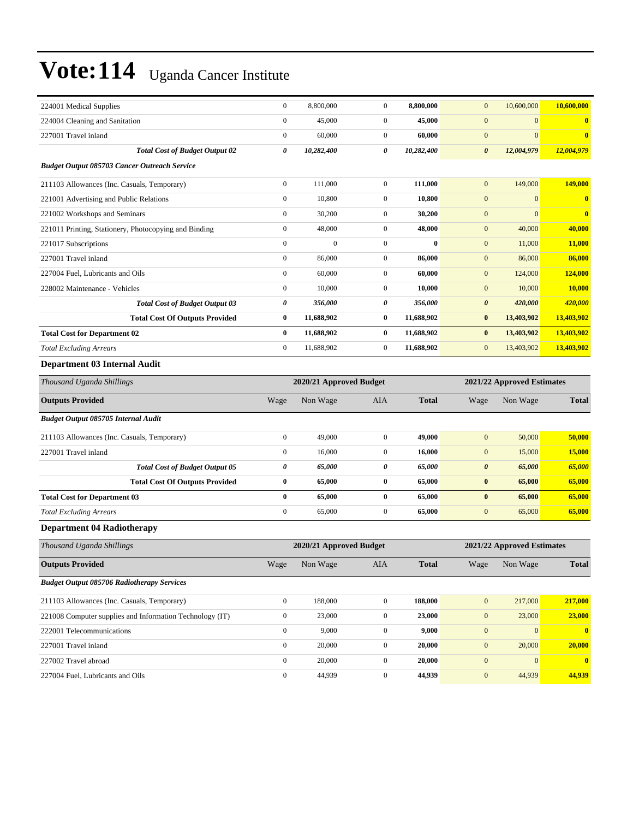| 224001 Medical Supplies                                  | $\boldsymbol{0}$ | 8,800,000               | $\mathbf{0}$     | 8,800,000    | $\mathbf{0}$          | 10,600,000                 | 10,600,000   |
|----------------------------------------------------------|------------------|-------------------------|------------------|--------------|-----------------------|----------------------------|--------------|
| 224004 Cleaning and Sanitation                           | $\boldsymbol{0}$ | 45,000                  | $\mathbf{0}$     | 45,000       | $\mathbf{0}$          | $\mathbf{0}$               | $\bf{0}$     |
| 227001 Travel inland                                     | $\boldsymbol{0}$ | 60,000                  | $\mathbf{0}$     | 60,000       | $\mathbf{0}$          | $\mathbf{0}$               | $\bf{0}$     |
| <b>Total Cost of Budget Output 02</b>                    | 0                | 10,282,400              | 0                | 10,282,400   | $\boldsymbol{\theta}$ | 12,004,979                 | 12,004,979   |
| <b>Budget Output 085703 Cancer Outreach Service</b>      |                  |                         |                  |              |                       |                            |              |
| 211103 Allowances (Inc. Casuals, Temporary)              | $\boldsymbol{0}$ | 111,000                 | $\mathbf{0}$     | 111,000      | $\mathbf{0}$          | 149,000                    | 149,000      |
| 221001 Advertising and Public Relations                  | $\boldsymbol{0}$ | 10,800                  | $\mathbf{0}$     | 10,800       | $\mathbf{0}$          | $\mathbf{0}$               | $\bf{0}$     |
| 221002 Workshops and Seminars                            | $\boldsymbol{0}$ | 30,200                  | $\mathbf{0}$     | 30,200       | $\mathbf{0}$          | $\mathbf{0}$               | $\bf{0}$     |
| 221011 Printing, Stationery, Photocopying and Binding    | $\boldsymbol{0}$ | 48,000                  | $\mathbf{0}$     | 48,000       | $\mathbf{0}$          | 40,000                     | 40,000       |
| 221017 Subscriptions                                     | $\boldsymbol{0}$ | $\boldsymbol{0}$        | $\boldsymbol{0}$ | $\bf{0}$     | $\mathbf{0}$          | 11,000                     | 11,000       |
| 227001 Travel inland                                     | $\mathbf{0}$     | 86,000                  | $\mathbf{0}$     | 86,000       | $\mathbf{0}$          | 86,000                     | 86,000       |
| 227004 Fuel, Lubricants and Oils                         | $\boldsymbol{0}$ | 60,000                  | $\mathbf{0}$     | 60,000       | $\mathbf{0}$          | 124,000                    | 124,000      |
| 228002 Maintenance - Vehicles                            | $\boldsymbol{0}$ | 10,000                  | $\mathbf{0}$     | 10,000       | $\mathbf{0}$          | 10,000                     | 10,000       |
| <b>Total Cost of Budget Output 03</b>                    | 0                | 356,000                 | 0                | 356,000      | $\boldsymbol{\theta}$ | 420,000                    | 420,000      |
| <b>Total Cost Of Outputs Provided</b>                    | $\bf{0}$         | 11,688,902              | $\bf{0}$         | 11,688,902   | $\bf{0}$              | 13,403,902                 | 13,403,902   |
| <b>Total Cost for Department 02</b>                      | $\bf{0}$         | 11,688,902              | $\bf{0}$         | 11,688,902   | $\bf{0}$              | 13,403,902                 | 13,403,902   |
| <b>Total Excluding Arrears</b>                           | $\boldsymbol{0}$ | 11,688,902              | $\mathbf{0}$     | 11,688,902   | $\mathbf{0}$          | 13,403,902                 | 13,403,902   |
| Department 03 Internal Audit                             |                  |                         |                  |              |                       |                            |              |
| Thousand Uganda Shillings                                |                  | 2020/21 Approved Budget |                  |              |                       | 2021/22 Approved Estimates |              |
|                                                          |                  |                         |                  |              |                       |                            |              |
| <b>Outputs Provided</b>                                  | Wage             | Non Wage                | AIA              | <b>Total</b> | Wage                  | Non Wage                   | <b>Total</b> |
| Budget Output 085705 Internal Audit                      |                  |                         |                  |              |                       |                            |              |
| 211103 Allowances (Inc. Casuals, Temporary)              | $\boldsymbol{0}$ | 49,000                  | $\boldsymbol{0}$ | 49,000       | $\mathbf{0}$          | 50,000                     | 50,000       |
| 227001 Travel inland                                     | $\boldsymbol{0}$ | 16,000                  | $\mathbf{0}$     | 16,000       | $\mathbf{0}$          | 15,000                     | 15,000       |
| <b>Total Cost of Budget Output 05</b>                    | 0                | 65,000                  | 0                | 65,000       | $\boldsymbol{\theta}$ | 65,000                     | 65,000       |
| <b>Total Cost Of Outputs Provided</b>                    | $\bf{0}$         | 65,000                  | $\bf{0}$         | 65,000       | $\bf{0}$              | 65,000                     | 65,000       |
| <b>Total Cost for Department 03</b>                      | $\bf{0}$         | 65,000                  | $\bf{0}$         | 65,000       | $\bf{0}$              | 65,000                     | 65,000       |
| <b>Total Excluding Arrears</b>                           | $\boldsymbol{0}$ | 65,000                  | $\mathbf{0}$     | 65,000       | $\mathbf{0}$          | 65,000                     | 65,000       |
| <b>Department 04 Radiotherapy</b>                        |                  |                         |                  |              |                       |                            |              |
| Thousand Uganda Shillings                                |                  | 2020/21 Approved Budget |                  |              |                       | 2021/22 Approved Estimates |              |
| <b>Outputs Provided</b>                                  | Wage             | Non Wage                | AIA              | <b>Total</b> | Wage                  | Non Wage                   | <b>Total</b> |
| <b>Budget Output 085706 Radiotherapy Services</b>        |                  |                         |                  |              |                       |                            |              |
| 211103 Allowances (Inc. Casuals, Temporary)              | $\boldsymbol{0}$ | 188,000                 | $\boldsymbol{0}$ | 188,000      | $\boldsymbol{0}$      | 217,000                    | 217,000      |
| 221008 Computer supplies and Information Technology (IT) | $\boldsymbol{0}$ | 23,000                  | $\boldsymbol{0}$ | 23,000       | $\boldsymbol{0}$      | 23,000                     | 23,000       |
| 222001 Telecommunications                                | $\boldsymbol{0}$ | 9,000                   | $\boldsymbol{0}$ | 9,000        | $\boldsymbol{0}$      | $\mathbf{0}$               | $\bf{0}$     |
| 227001 Travel inland                                     | $\boldsymbol{0}$ | 20,000                  | $\boldsymbol{0}$ | 20,000       | $\boldsymbol{0}$      | 20,000                     | 20,000       |
| 227002 Travel abroad                                     | $\boldsymbol{0}$ | 20,000                  | $\boldsymbol{0}$ | 20,000       | $\boldsymbol{0}$      | $\mathbf{0}$               | $\bf{0}$     |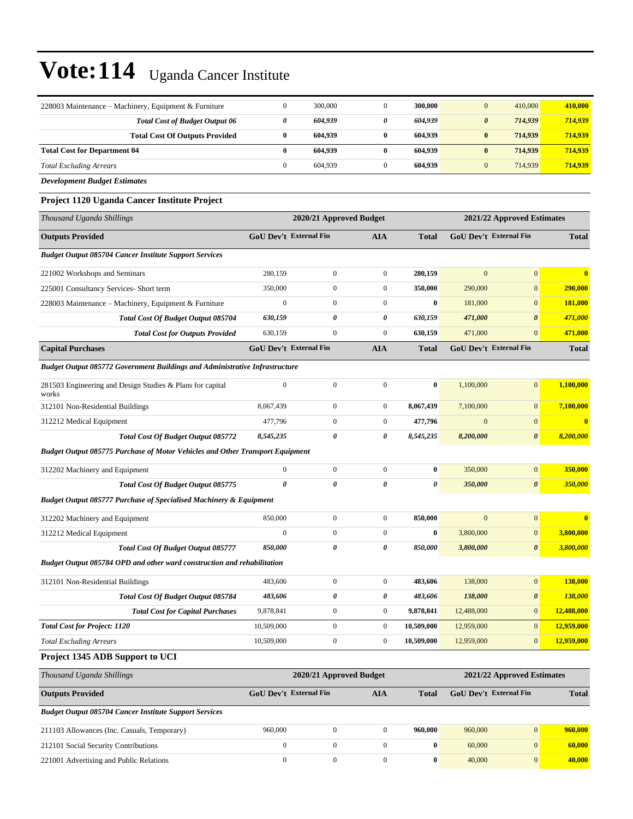| 228003 Maintenance – Machinery, Equipment & Furniture                                | $\boldsymbol{0}$              | 300,000                 | $\mathbf{0}$          | 300,000               | $\mathbf{0}$           | 410,000                    | 410,000      |
|--------------------------------------------------------------------------------------|-------------------------------|-------------------------|-----------------------|-----------------------|------------------------|----------------------------|--------------|
| <b>Total Cost of Budget Output 06</b>                                                | 0                             | 604,939                 | $\boldsymbol{\theta}$ | 604,939               | $\boldsymbol{\theta}$  | 714,939                    | 714,939      |
| <b>Total Cost Of Outputs Provided</b>                                                | $\bf{0}$                      | 604,939                 | $\bf{0}$              | 604,939               | $\bf{0}$               | 714,939                    | 714,939      |
| <b>Total Cost for Department 04</b>                                                  | $\bf{0}$                      | 604,939                 | $\bf{0}$              | 604,939               | $\bf{0}$               | 714,939                    | 714,939      |
| <b>Total Excluding Arrears</b>                                                       | $\boldsymbol{0}$              | 604,939                 | $\mathbf{0}$          | 604,939               | $\mathbf{0}$           | 714,939                    | 714,939      |
| <b>Development Budget Estimates</b>                                                  |                               |                         |                       |                       |                        |                            |              |
| Project 1120 Uganda Cancer Institute Project                                         |                               |                         |                       |                       |                        |                            |              |
| Thousand Uganda Shillings                                                            |                               | 2020/21 Approved Budget |                       |                       |                        | 2021/22 Approved Estimates |              |
| <b>Outputs Provided</b>                                                              | <b>GoU Dev't External Fin</b> |                         | AIA                   | <b>Total</b>          | GoU Dev't External Fin |                            | <b>Total</b> |
| <b>Budget Output 085704 Cancer Institute Support Services</b>                        |                               |                         |                       |                       |                        |                            |              |
| 221002 Workshops and Seminars                                                        | 280,159                       | $\mathbf{0}$            | $\mathbf{0}$          | 280,159               | $\mathbf{0}$           | $\overline{0}$             |              |
| 225001 Consultancy Services- Short term                                              | 350,000                       | $\mathbf{0}$            | $\boldsymbol{0}$      | 350,000               | 290,000                | $\mathbf{0}$               | 290,000      |
| 228003 Maintenance - Machinery, Equipment & Furniture                                | $\boldsymbol{0}$              | $\mathbf{0}$            | $\mathbf{0}$          | $\bf{0}$              | 181,000                | $\mathbf{0}$               | 181,000      |
| Total Cost Of Budget Output 085704                                                   | 630,159                       | 0                       | 0                     | 630,159               | 471,000                | $\boldsymbol{\theta}$      | 471,000      |
| <b>Total Cost for Outputs Provided</b>                                               | 630,159                       | $\mathbf{0}$            | $\mathbf{0}$          | 630,159               | 471,000                | $\overline{0}$             | 471,000      |
| <b>Capital Purchases</b>                                                             | <b>GoU Dev't External Fin</b> |                         | <b>AIA</b>            | <b>Total</b>          | GoU Dev't External Fin |                            | <b>Total</b> |
| Budget Output 085772 Government Buildings and Administrative Infrastructure          |                               |                         |                       |                       |                        |                            |              |
| 281503 Engineering and Design Studies & Plans for capital<br>works                   | $\mathbf{0}$                  | $\mathbf{0}$            | $\mathbf{0}$          | $\bf{0}$              | 1.100.000              | $\mathbf{0}$               | 1,100,000    |
| 312101 Non-Residential Buildings                                                     | 8,067,439                     | $\mathbf{0}$            | $\boldsymbol{0}$      | 8,067,439             | 7,100,000              | $\mathbf{0}$               | 7,100,000    |
| 312212 Medical Equipment                                                             | 477,796                       | $\boldsymbol{0}$        | $\boldsymbol{0}$      | 477,796               | $\mathbf{0}$           | $\mathbf{0}$               |              |
| Total Cost Of Budget Output 085772                                                   | 8,545,235                     | 0                       | 0                     | 8,545,235             | 8,200,000              | $\boldsymbol{\theta}$      | 8,200,000    |
| <b>Budget Output 085775 Purchase of Motor Vehicles and Other Transport Equipment</b> |                               |                         |                       |                       |                        |                            |              |
| 312202 Machinery and Equipment                                                       | $\boldsymbol{0}$              | $\mathbf{0}$            | $\boldsymbol{0}$      | $\bf{0}$              | 350,000                | $\mathbf{0}$               | 350,000      |
| Total Cost Of Budget Output 085775                                                   | $\theta$                      | 0                       | 0                     | $\boldsymbol{\theta}$ | 350,000                | $\boldsymbol{\theta}$      | 350,000      |
| Budget Output 085777 Purchase of Specialised Machinery & Equipment                   |                               |                         |                       |                       |                        |                            |              |
| 312202 Machinery and Equipment                                                       | 850,000                       | $\boldsymbol{0}$        | $\boldsymbol{0}$      | 850,000               | $\mathbf{0}$           | $\mathbf{0}$               | $\mathbf{0}$ |
| 312212 Medical Equipment                                                             | $\boldsymbol{0}$              | $\mathbf{0}$            | $\mathbf{0}$          | $\bf{0}$              | 3,800,000              | $\mathbf{0}$               | 3,800,000    |
| Total Cost Of Budget Output 085777                                                   | 850,000                       | 0                       | 0                     | 850,000               | 3,800,000              | $\boldsymbol{\theta}$      | 3,800,000    |
| Budget Output 085784 OPD and other ward construction and rehabilitation              |                               |                         |                       |                       |                        |                            |              |
| 312101 Non-Residential Buildings                                                     | 483,606                       | $\boldsymbol{0}$        | $\boldsymbol{0}$      | 483,606               | 138,000                | $\overline{0}$             | 138,000      |
| Total Cost Of Budget Output 085784                                                   | 483,606                       | 0                       | 0                     | 483,606               | 138,000                | $\pmb{\theta}$             | 138,000      |
| <b>Total Cost for Capital Purchases</b>                                              | 9,878,841                     | $\boldsymbol{0}$        | $\boldsymbol{0}$      | 9,878,841             | 12,488,000             | $\mathbf{0}$               | 12,488,000   |
| <b>Total Cost for Project: 1120</b>                                                  | 10,509,000                    | $\boldsymbol{0}$        | $\boldsymbol{0}$      | 10,509,000            | 12,959,000             | 0                          | 12,959,000   |
| <b>Total Excluding Arrears</b>                                                       | 10,509,000                    | $\boldsymbol{0}$        | $\boldsymbol{0}$      | 10,509,000            | 12,959,000             | $\mathbf{0}$               | 12,959,000   |
| Project 1345 ADB Support to UCI                                                      |                               |                         |                       |                       |                        |                            |              |
| Thousand Uganda Shillings                                                            |                               | 2020/21 Approved Budget |                       |                       |                        | 2021/22 Approved Estimates |              |
| <b>Outputs Provided</b>                                                              | <b>GoU Dev't External Fin</b> |                         | <b>AIA</b>            | <b>Total</b>          | GoU Dev't External Fin |                            | <b>Total</b> |
| <b>Budget Output 085704 Cancer Institute Support Services</b>                        |                               |                         |                       |                       |                        |                            |              |
| 211103 Allowances (Inc. Casuals, Temporary)                                          | 960,000                       | $\boldsymbol{0}$        | $\boldsymbol{0}$      | 960,000               | 960,000                | $\mathbf{0}$               | 960,000      |
| 212101 Social Security Contributions                                                 | $\boldsymbol{0}$              | $\boldsymbol{0}$        | $\boldsymbol{0}$      | $\bf{0}$              | 60,000                 | $\boldsymbol{0}$           | 60,000       |
| 221001 Advertising and Public Relations                                              | $\boldsymbol{0}$              | $\boldsymbol{0}$        | $\boldsymbol{0}$      | $\pmb{0}$             | 40,000                 | $\mathbf{0}$               | 40,000       |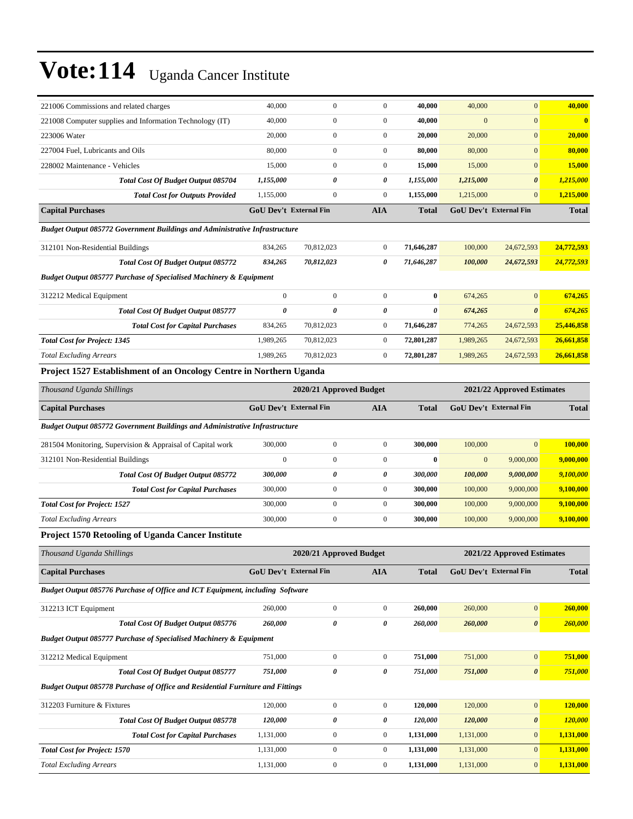| 221006 Commissions and related charges                                                | 40,000                        | $\boldsymbol{0}$        | $\boldsymbol{0}$ | 40,000       | 40,000       | $\mathbf{0}$               | 40,000        |
|---------------------------------------------------------------------------------------|-------------------------------|-------------------------|------------------|--------------|--------------|----------------------------|---------------|
| 221008 Computer supplies and Information Technology (IT)                              | 40,000                        | $\boldsymbol{0}$        | $\boldsymbol{0}$ | 40,000       | $\mathbf{0}$ | $\mathbf{0}$               | $\bf{0}$      |
| 223006 Water                                                                          | 20,000                        | $\mathbf{0}$            | $\boldsymbol{0}$ | 20,000       | 20,000       | $\mathbf{0}$               | 20,000        |
| 227004 Fuel, Lubricants and Oils                                                      | 80,000                        | $\mathbf{0}$            | $\boldsymbol{0}$ | 80,000       | 80,000       | $\mathbf{0}$               | 80,000        |
| 228002 Maintenance - Vehicles                                                         | 15,000                        | $\boldsymbol{0}$        | $\boldsymbol{0}$ | 15,000       | 15,000       | $\mathbf{0}$               | <b>15,000</b> |
| Total Cost Of Budget Output 085704                                                    | 1,155,000                     | 0                       | 0                | 1,155,000    | 1,215,000    | $\boldsymbol{\theta}$      | 1,215,000     |
| <b>Total Cost for Outputs Provided</b>                                                | 1,155,000                     | $\boldsymbol{0}$        | $\boldsymbol{0}$ | 1,155,000    | 1,215,000    | $\mathbf{0}$               | 1,215,000     |
| <b>Capital Purchases</b>                                                              | <b>GoU Dev't External Fin</b> |                         | <b>AIA</b>       | <b>Total</b> |              | GoU Dev't External Fin     | <b>Total</b>  |
| Budget Output 085772 Government Buildings and Administrative Infrastructure           |                               |                         |                  |              |              |                            |               |
| 312101 Non-Residential Buildings                                                      | 834,265                       | 70,812,023              | $\boldsymbol{0}$ | 71,646,287   | 100,000      | 24,672,593                 | 24,772,593    |
| Total Cost Of Budget Output 085772                                                    | 834,265                       | 70,812,023              | 0                | 71,646,287   | 100,000      | 24,672,593                 | 24,772,593    |
| <b>Budget Output 085777 Purchase of Specialised Machinery &amp; Equipment</b>         |                               |                         |                  |              |              |                            |               |
| 312212 Medical Equipment                                                              | $\mathbf{0}$                  | $\boldsymbol{0}$        | $\boldsymbol{0}$ | $\bf{0}$     | 674,265      | $\mathbf{0}$               | 674,265       |
| <b>Total Cost Of Budget Output 085777</b>                                             | 0                             | 0                       | 0                | 0            | 674,265      | $\boldsymbol{\theta}$      | 674,265       |
| <b>Total Cost for Capital Purchases</b>                                               | 834,265                       | 70,812,023              | $\boldsymbol{0}$ | 71,646,287   | 774,265      | 24,672,593                 | 25,446,858    |
| <b>Total Cost for Project: 1345</b>                                                   | 1,989,265                     | 70,812,023              | $\boldsymbol{0}$ | 72,801,287   | 1,989,265    | 24,672,593                 | 26,661,858    |
| <b>Total Excluding Arrears</b>                                                        | 1,989,265                     | 70,812,023              | $\boldsymbol{0}$ | 72,801,287   | 1,989,265    | 24,672,593                 | 26,661,858    |
| Project 1527 Establishment of an Oncology Centre in Northern Uganda                   |                               |                         |                  |              |              |                            |               |
| Thousand Uganda Shillings                                                             |                               | 2020/21 Approved Budget |                  |              |              | 2021/22 Approved Estimates |               |
| <b>Capital Purchases</b>                                                              | GoU Dev't External Fin        |                         | <b>AIA</b>       | <b>Total</b> |              | GoU Dev't External Fin     | <b>Total</b>  |
| <b>Budget Output 085772 Government Buildings and Administrative Infrastructure</b>    |                               |                         |                  |              |              |                            |               |
| 281504 Monitoring, Supervision & Appraisal of Capital work                            | 300,000                       | $\boldsymbol{0}$        | $\boldsymbol{0}$ | 300,000      | 100,000      | $\mathbf{0}$               | 100,000       |
| 312101 Non-Residential Buildings                                                      | $\mathbf{0}$                  | $\mathbf{0}$            | $\boldsymbol{0}$ | $\bf{0}$     | $\mathbf{0}$ | 9,000,000                  | 9,000,000     |
| <b>Total Cost Of Budget Output 085772</b>                                             | 300,000                       | $\pmb{\theta}$          | 0                | 300,000      | 100,000      | 9,000,000                  | 9,100,000     |
| <b>Total Cost for Capital Purchases</b>                                               | 300,000                       | $\boldsymbol{0}$        | $\boldsymbol{0}$ | 300,000      | 100,000      | 9,000,000                  | 9,100,000     |
| <b>Total Cost for Project: 1527</b>                                                   | 300,000                       | $\boldsymbol{0}$        | $\boldsymbol{0}$ | 300,000      | 100,000      | 9,000,000                  | 9,100,000     |
| <b>Total Excluding Arrears</b>                                                        | 300,000                       | $\boldsymbol{0}$        | $\boldsymbol{0}$ | 300,000      | 100,000      | 9,000,000                  | 9,100,000     |
| Project 1570 Retooling of Uganda Cancer Institute                                     |                               |                         |                  |              |              |                            |               |
|                                                                                       |                               |                         |                  |              |              |                            |               |
| Thousand Uganda Shillings                                                             |                               | 2020/21 Approved Budget |                  |              |              | 2021/22 Approved Estimates |               |
| <b>Capital Purchases</b>                                                              | GoU Dev't External Fin        |                         | <b>AIA</b>       | <b>Total</b> |              | GoU Dev't External Fin     | <b>Total</b>  |
| Budget Output 085776 Purchase of Office and ICT Equipment, including Software         |                               |                         |                  |              |              |                            |               |
| 312213 ICT Equipment                                                                  | 260,000                       | $\boldsymbol{0}$        | $\boldsymbol{0}$ | 260,000      | 260,000      | $\mathbf{0}$               | 260,000       |
| Total Cost Of Budget Output 085776                                                    | 260,000                       | $\pmb{\theta}$          | 0                | 260,000      | 260,000      | $\boldsymbol{\theta}$      | 260,000       |
| <b>Budget Output 085777 Purchase of Specialised Machinery &amp; Equipment</b>         |                               |                         |                  |              |              |                            |               |
| 312212 Medical Equipment                                                              | 751,000                       | $\boldsymbol{0}$        | $\boldsymbol{0}$ | 751,000      | 751,000      | $\boldsymbol{0}$           | 751,000       |
| Total Cost Of Budget Output 085777                                                    | 751,000                       | $\pmb{\theta}$          | 0                | 751,000      | 751,000      | $\boldsymbol{\theta}$      | 751,000       |
| <b>Budget Output 085778 Purchase of Office and Residential Furniture and Fittings</b> |                               |                         |                  |              |              |                            |               |
| 312203 Furniture & Fixtures                                                           | 120,000                       | $\boldsymbol{0}$        | $\boldsymbol{0}$ | 120,000      | 120,000      | $\bf{0}$                   | 120,000       |
| Total Cost Of Budget Output 085778                                                    | 120,000                       | 0                       | 0                | 120,000      | 120,000      | 0                          | 120,000       |
| <b>Total Cost for Capital Purchases</b>                                               | 1,131,000                     | $\boldsymbol{0}$        | $\boldsymbol{0}$ | 1,131,000    | 1,131,000    | $\boldsymbol{0}$           | 1,131,000     |
| <b>Total Cost for Project: 1570</b>                                                   | 1,131,000                     | $\boldsymbol{0}$        | $\boldsymbol{0}$ | 1,131,000    | 1,131,000    | $\boldsymbol{0}$           | 1,131,000     |
| <b>Total Excluding Arrears</b>                                                        | 1,131,000                     | $\boldsymbol{0}$        | $\boldsymbol{0}$ | 1,131,000    | 1,131,000    | $\boldsymbol{0}$           | 1,131,000     |
|                                                                                       |                               |                         |                  |              |              |                            |               |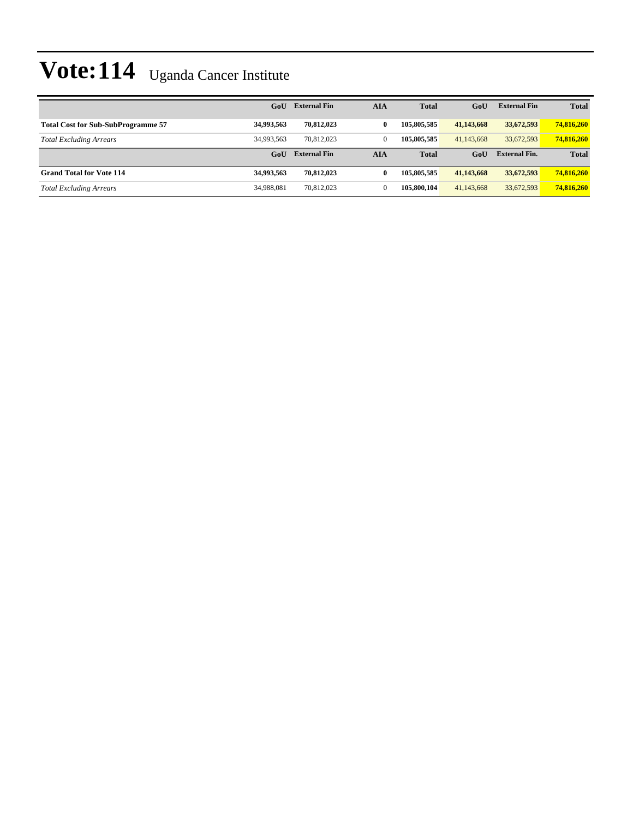|                                           | GoU        | <b>External Fin</b> | AIA          | <b>Total</b> | GoU        | <b>External Fin</b>  | <b>Total</b> |
|-------------------------------------------|------------|---------------------|--------------|--------------|------------|----------------------|--------------|
| <b>Total Cost for Sub-SubProgramme 57</b> | 34,993,563 | 70.812.023          | $\bf{0}$     | 105,805,585  | 41,143,668 | 33,672,593           | 74,816,260   |
| <b>Total Excluding Arrears</b>            | 34,993,563 | 70.812.023          | $\mathbf{0}$ | 105,805,585  | 41,143,668 | 33.672.593           | 74.816.260   |
|                                           | GoU        | <b>External Fin</b> | AIA          | <b>Total</b> | GoU        | <b>External Fin.</b> | <b>Total</b> |
| <b>Grand Total for Vote 114</b>           | 34,993,563 | 70,812,023          | $\bf{0}$     | 105,805,585  | 41,143,668 | 33,672,593           | 74,816,260   |
| <b>Total Excluding Arrears</b>            | 34,988,081 | 70.812.023          | 0            | 105,800,104  | 41,143,668 | 33,672,593           | 74,816,260   |